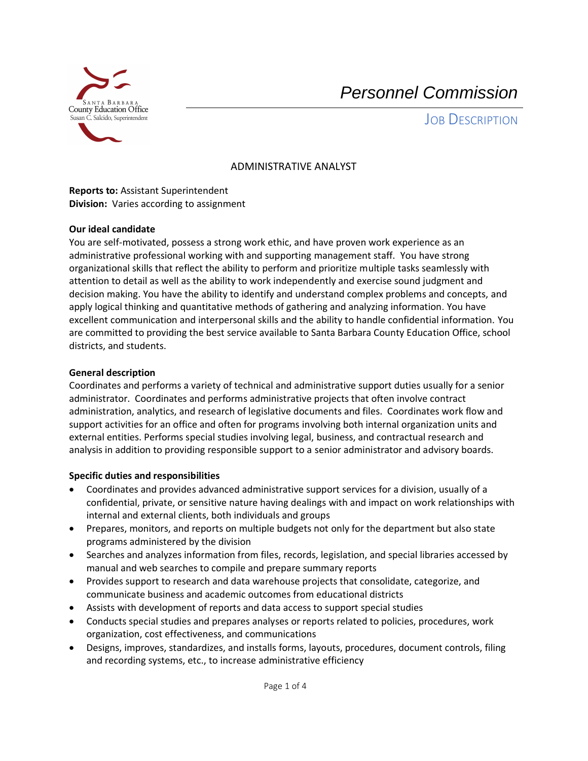

# *Personnel Commission*

JOB DESCRIPTION

# ADMINISTRATIVE ANALYST

 **Division:** Varies according to assignment **Reports to:** Assistant Superintendent

## **Our ideal candidate**

You are self-motivated, possess a strong work ethic, and have proven work experience as an administrative professional working with and supporting management staff. You have strong organizational skills that reflect the ability to perform and prioritize multiple tasks seamlessly with attention to detail as well as the ability to work independently and exercise sound judgment and decision making. You have the ability to identify and understand complex problems and concepts, and apply logical thinking and quantitative methods of gathering and analyzing information. You have excellent communication and interpersonal skills and the ability to handle confidential information. You are committed to providing the best service available to Santa Barbara County Education Office, school districts, and students.

## **General description**

Coordinates and performs a variety of technical and administrative support duties usually for a senior administrator. Coordinates and performs administrative projects that often involve contract administration, analytics, and research of legislative documents and files. Coordinates work flow and support activities for an office and often for programs involving both internal organization units and external entities. Performs special studies involving legal, business, and contractual research and analysis in addition to providing responsible support to a senior administrator and advisory boards.

## **Specific duties and responsibilities**

- Coordinates and provides advanced administrative support services for a division, usually of a confidential, private, or sensitive nature having dealings with and impact on work relationships with internal and external clients, both individuals and groups
- Prepares, monitors, and reports on multiple budgets not only for the department but also state programs administered by the division
- Searches and analyzes information from files, records, legislation, and special libraries accessed by manual and web searches to compile and prepare summary reports
- Provides support to research and data warehouse projects that consolidate, categorize, and communicate business and academic outcomes from educational districts
- Assists with development of reports and data access to support special studies
- Conducts special studies and prepares analyses or reports related to policies, procedures, work organization, cost effectiveness, and communications
- Designs, improves, standardizes, and installs forms, layouts, procedures, document controls, filing and recording systems, etc., to increase administrative efficiency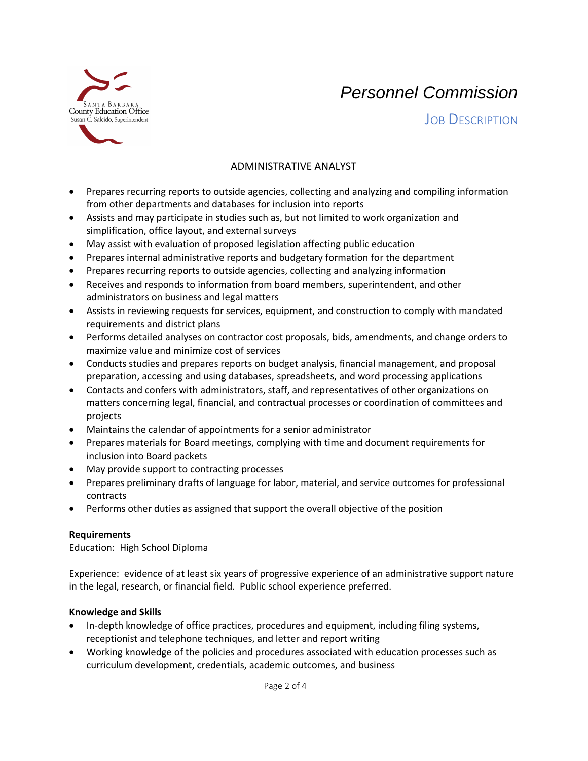

*Personnel Commission* 

JOB DESCRIPTION

# ADMINISTRATIVE ANALYST

- Prepares recurring reports to outside agencies, collecting and analyzing and compiling information from other departments and databases for inclusion into reports
- Assists and may participate in studies such as, but not limited to work organization and simplification, office layout, and external surveys
- May assist with evaluation of proposed legislation affecting public education
- Prepares internal administrative reports and budgetary formation for the department
- Prepares recurring reports to outside agencies, collecting and analyzing information
- Receives and responds to information from board members, superintendent, and other administrators on business and legal matters
- Assists in reviewing requests for services, equipment, and construction to comply with mandated requirements and district plans
- Performs detailed analyses on contractor cost proposals, bids, amendments, and change orders to maximize value and minimize cost of services
- Conducts studies and prepares reports on budget analysis, financial management, and proposal preparation, accessing and using databases, spreadsheets, and word processing applications
- Contacts and confers with administrators, staff, and representatives of other organizations on matters concerning legal, financial, and contractual processes or coordination of committees and projects
- Maintains the calendar of appointments for a senior administrator
- Prepares materials for Board meetings, complying with time and document requirements for inclusion into Board packets
- May provide support to contracting processes
- Prepares preliminary drafts of language for labor, material, and service outcomes for professional contracts
- Performs other duties as assigned that support the overall objective of the position

## **Requirements**

Education: High School Diploma

 Experience: evidence of at least six years of progressive experience of an administrative support nature in the legal, research, or financial field. Public school experience preferred.

## **Knowledge and Skills**

- In-depth knowledge of office practices, procedures and equipment, including filing systems, receptionist and telephone techniques, and letter and report writing
- Working knowledge of the policies and procedures associated with education processes such as curriculum development, credentials, academic outcomes, and business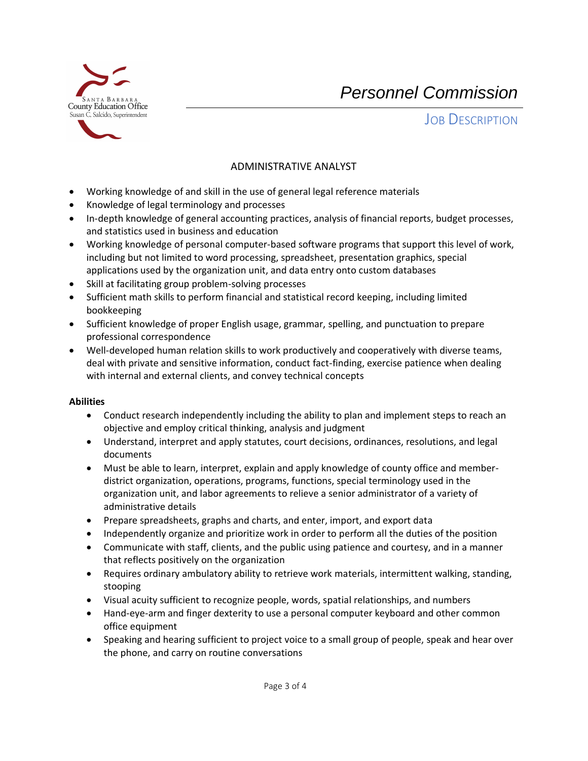

*Personnel Commission* 

JOB DESCRIPTION

# ADMINISTRATIVE ANALYST

- Working knowledge of and skill in the use of general legal reference materials
- Knowledge of legal terminology and processes
- In-depth knowledge of general accounting practices, analysis of financial reports, budget processes, and statistics used in business and education
- Working knowledge of personal computer-based software programs that support this level of work, including but not limited to word processing, spreadsheet, presentation graphics, special applications used by the organization unit, and data entry onto custom databases
- Skill at facilitating group problem-solving processes
- Sufficient math skills to perform financial and statistical record keeping, including limited bookkeeping
- Sufficient knowledge of proper English usage, grammar, spelling, and punctuation to prepare professional correspondence
- Well-developed human relation skills to work productively and cooperatively with diverse teams, deal with private and sensitive information, conduct fact-finding, exercise patience when dealing with internal and external clients, and convey technical concepts

## **Abilities**

- Conduct research independently including the ability to plan and implement steps to reach an objective and employ critical thinking, analysis and judgment
- Understand, interpret and apply statutes, court decisions, ordinances, resolutions, and legal documents
- Must be able to learn, interpret, explain and apply knowledge of county office and memberdistrict organization, operations, programs, functions, special terminology used in the organization unit, and labor agreements to relieve a senior administrator of a variety of administrative details
- Prepare spreadsheets, graphs and charts, and enter, import, and export data
- Independently organize and prioritize work in order to perform all the duties of the position
- Communicate with staff, clients, and the public using patience and courtesy, and in a manner that reflects positively on the organization
- Requires ordinary ambulatory ability to retrieve work materials, intermittent walking, standing, stooping
- Visual acuity sufficient to recognize people, words, spatial relationships, and numbers
- Hand-eye-arm and finger dexterity to use a personal computer keyboard and other common office equipment
- Speaking and hearing sufficient to project voice to a small group of people, speak and hear over the phone, and carry on routine conversations